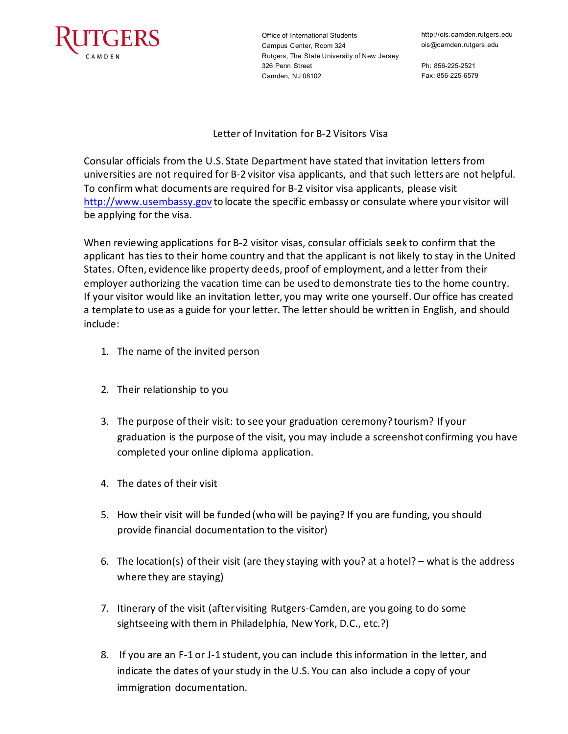

Office of International Students Campus Center, Room 324 Rutgers, The State University of New Jersey 326 Penn Street Camden, NJ 08102

Ph: 856-225-2521 Fax: 856-225-6579

Letter of Invitation for B-2 Visitors Visa

Consular officials from the U.S. State Department have stated that invitation letters from universities are not required for B-2 visitor visa applicants, and that such letters are not helpful. To confirm what documents are required for B-2 visitor visa applicants, please visit [http://www.usembassy.gov](https://www.usembassy.gov/) to locate the specific embassy or consulate where your visitor will be applying for the visa.

When reviewing applications for B-2 visitor visas, consular officials seek to confirm that the applicant has ties to their home country and that the applicant is not likely to stay in the United States. Often, evidence like property deeds, proof of employment, and a letter from their employer authorizing the vacation time can be used to demonstrate ties to the home country. If your visitor would like an invitation letter, you may write one yourself. Our office has created a template to use as a guide for your letter. The letter should be written in English, and should include:

- 1. The name of the invited person
- 2. Their relationship to you
- 3. The purpose of their visit: to see your graduation ceremony? tourism? If your graduation is the purpose of the visit, you may include a screenshot confirming you have completed your online diploma application.
- 4. The dates of their visit
- 5. How their visit will be funded (who will be paying? If you are funding, you should provide financial documentation to the visitor)
- 6. The location(s) of their visit (are they staying with you? at a hotel? what is the address where they are staying)
- 7. Itinerary of the visit (after visiting Rutgers-Camden, are you going to do some sightseeing with them in Philadelphia, New York, D.C., etc.?)
- 8. If you are an F-1 or J-1 student, you can include this information in the letter, and indicate the dates of your study in the U.S. You can also include a copy of your immigration documentation.